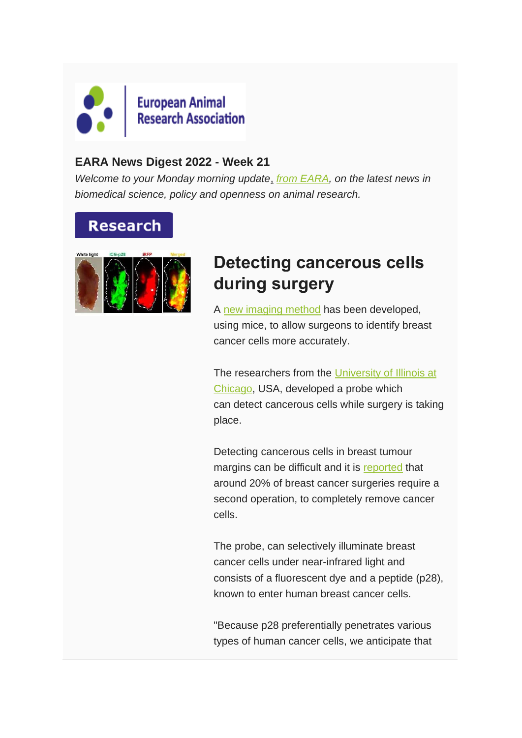

#### **EARA News Digest 2022 - Week 21**

*Welcome to your Monday morning update*, *[from EARA,](https://www.eara.eu/) on the latest news in biomedical science, policy and openness on animal research.*

### **Research**



### **Detecting cancerous cells during surgery**

A [new imaging method](https://linkinghub.elsevier.com/retrieve/pii/S2352396422000342) has been developed, using mice, to allow surgeons to identify breast cancer cells more accurately.

The researchers from the [University of Illinois at](https://cancer.uillinois.edu/member/tohru-yamada-phd/)  [Chicago,](https://cancer.uillinois.edu/member/tohru-yamada-phd/) USA, developed a probe which can detect cancerous cells while surgery is taking place.

Detecting cancerous cells in breast tumour margins can be difficult and it is [reported](https://www.nibib.nih.gov/news-events/newsroom/lighting-breast-tumors-during-surgery) that around 20% of breast cancer surgeries require a second operation, to completely remove cancer cells.

The probe, can selectively illuminate breast cancer cells under near-infrared light and consists of a fluorescent dye and a peptide (p28), known to enter human breast cancer cells.

"Because p28 preferentially penetrates various types of human cancer cells, we anticipate that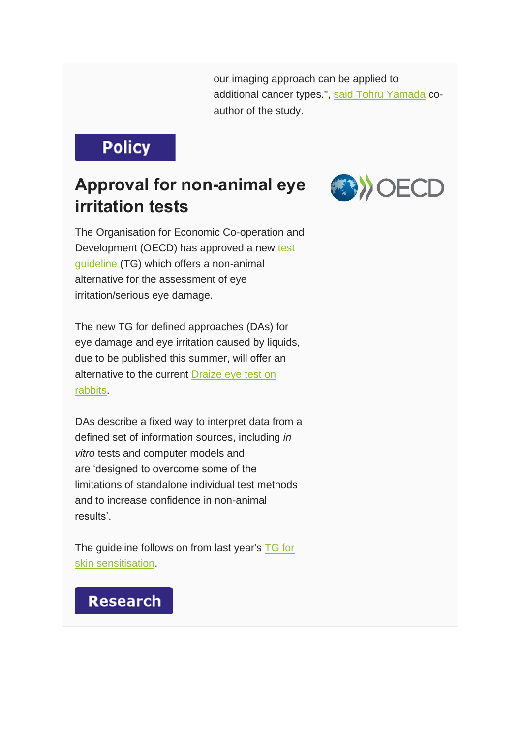our imaging approach can be applied to additional cancer types.", [said Tohru Yamada](https://medicalxpress.com/news/2022-05-near-infrared-fluorescence-mice-optimizes-tumor.html) coauthor of the study.

## **Policy**

### **Approval for non-animal eye irritation tests**



The Organisation for Economic Co-operation and Development (OECD) has approved a new [test](https://www.oecd.org/chemicalsafety/testing/draft-guideline-defined-approaches-eye-irritation.pdf)  [guideline](https://www.oecd.org/chemicalsafety/testing/draft-guideline-defined-approaches-eye-irritation.pdf) (TG) which offers a non-animal alternative for the assessment of eye irritation/serious eye damage.

The new TG for defined approaches (DAs) for eye damage and eye irritation caused by liquids, due to be published this summer, will offer an alternative to the current [Draize eye test on](https://www.sciencedirect.com/topics/pharmacology-toxicology-and-pharmaceutical-science/draize-test)  [rabbits.](https://www.sciencedirect.com/topics/pharmacology-toxicology-and-pharmaceutical-science/draize-test)

DAs describe a fixed way to interpret data from a defined set of information sources, including *in vitro* tests and computer models and are 'designed to overcome some of the limitations of standalone individual test methods and to increase confidence in non-animal results'.

The guideline follows on from last year's [TG for](https://www.eara.eu/post/animal-free-skin-sensitisation-test)  [skin sensitisation.](https://www.eara.eu/post/animal-free-skin-sensitisation-test)

### **Research**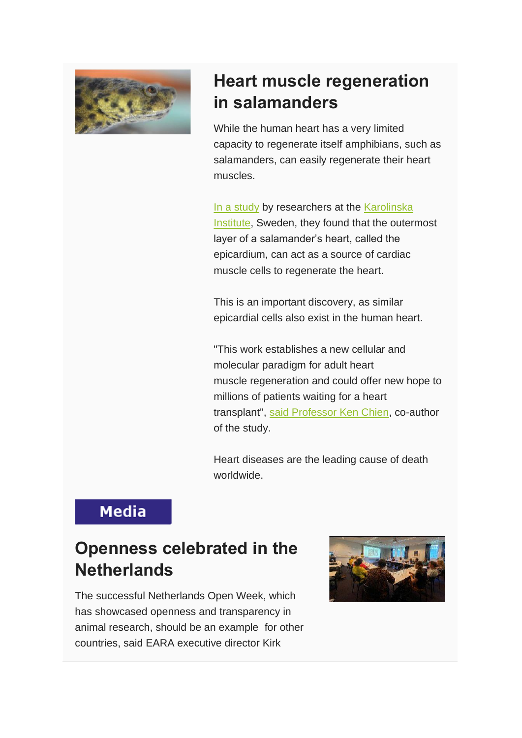

# **Heart muscle regeneration in salamanders**

While the human heart has a very limited capacity to regenerate itself amphibians, such as salamanders, can easily regenerate their heart muscles.

[In a study](https://www.nature.com/articles/s41556-022-00902-2) by researchers at the [Karolinska](https://news.ki.se/heart-progenitors-spontaneously-regenerate-cardiac-muscle-in-salamanders)  [Institute,](https://news.ki.se/heart-progenitors-spontaneously-regenerate-cardiac-muscle-in-salamanders) Sweden, they found that the outermost layer of a salamander's heart, called the epicardium, can act as a source of cardiac muscle cells to regenerate the heart.

This is an important discovery, as similar epicardial cells also exist in the human heart.

"This work establishes a new cellular and molecular paradigm for adult heart muscle regeneration and could offer new hope to millions of patients waiting for a heart transplant", [said Professor Ken Chien,](https://phys.org/news/2022-05-heart-progenitors-spontaneously-regenerate-cardiac.html?utm_source=nwletter&utm_medium=email&utm_campaign=daily-nwletter) co-author of the study.

Heart diseases are the leading cause of death worldwide.

### **Media**

### **Openness celebrated in the Netherlands**

The successful Netherlands Open Week, which has showcased openness and transparency in animal research, should be an example for other countries, said EARA executive director Kirk

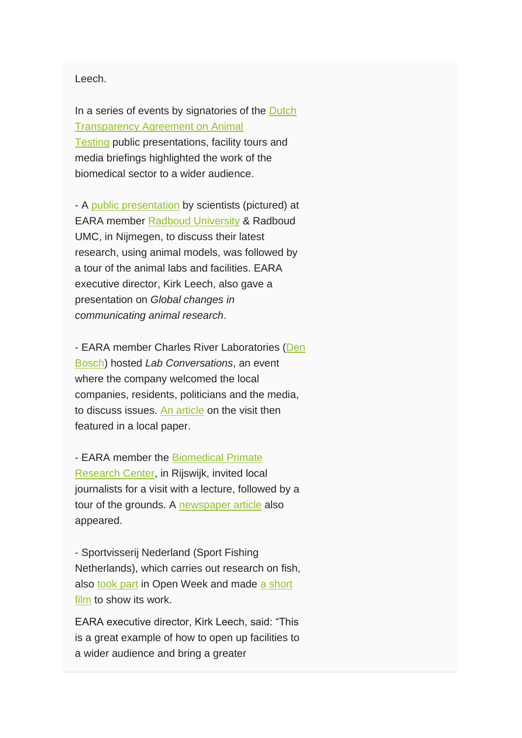#### Leech.

In a series of events by signatories of the [Dutch](https://www.stichtinginformatiedierproeven.nl/transparantieovereenkomst-dierproeven/)  [Transparency Agreement on Animal](https://www.stichtinginformatiedierproeven.nl/transparantieovereenkomst-dierproeven/)  [Testing](https://www.stichtinginformatiedierproeven.nl/transparantieovereenkomst-dierproeven/) public presentations, facility tours and media briefings highlighted the work of the biomedical sector to a wider audience.

- A [public presentation](https://www.radboudumc.nl/nieuws/2022/de-toekomst-van-proefdieronderzoek) by scientists (pictured) at EARA member [Radboud University](https://www.ru.nl/english/) & Radboud UMC, in Nijmegen, to discuss their latest research, using animal models, was followed by a tour of the animal labs and facilities. EARA executive director, Kirk Leech, also gave a presentation on *Global changes in communicating animal research*.

- EARA member Charles River Laboratories [\(Den](https://www.criver.com/nonclinical-clinical-safety-europe/den-bosch-netherlands)  [Bosch\)](https://www.criver.com/nonclinical-clinical-safety-europe/den-bosch-netherlands) hosted *Lab Conversations*, an event where the company welcomed the local companies, residents, politicians and the media, to discuss issues. [An article](https://www.omroepbrabant.nl/nieuws/4084298/zeldzaam-inkijkje-in-dierproeflab-het-moet-gebeuren-dus-doe-ik-het) on the visit then featured in a local paper.

- EARA member the [Biomedical Primate](https://www.bprc.nl/)  [Research Center,](https://www.bprc.nl/) in Rijswijk, invited local journalists for a visit with a lecture, followed by a tour of the grounds. A [newspaper article](https://www.omroepwest.nl/nieuws/4574833/minder-apen-als-proefdier-bij-centrum-in-rijswijk-dit-is-de-ondergrens) also appeared.

- Sportvisserij Nederland (Sport Fishing Netherlands), which carries out research on fish, also [took part](https://www.sportvisserijnederland.nl/vis-water/visonderzoek/) in Open Week and made [a short](https://www.youtube.com/watch?v=4KQrGnRKVHQ&t=1s)  [film](https://www.youtube.com/watch?v=4KQrGnRKVHQ&t=1s) to show its work.

EARA executive director, Kirk Leech, said: "This is a great example of how to open up facilities to a wider audience and bring a greater